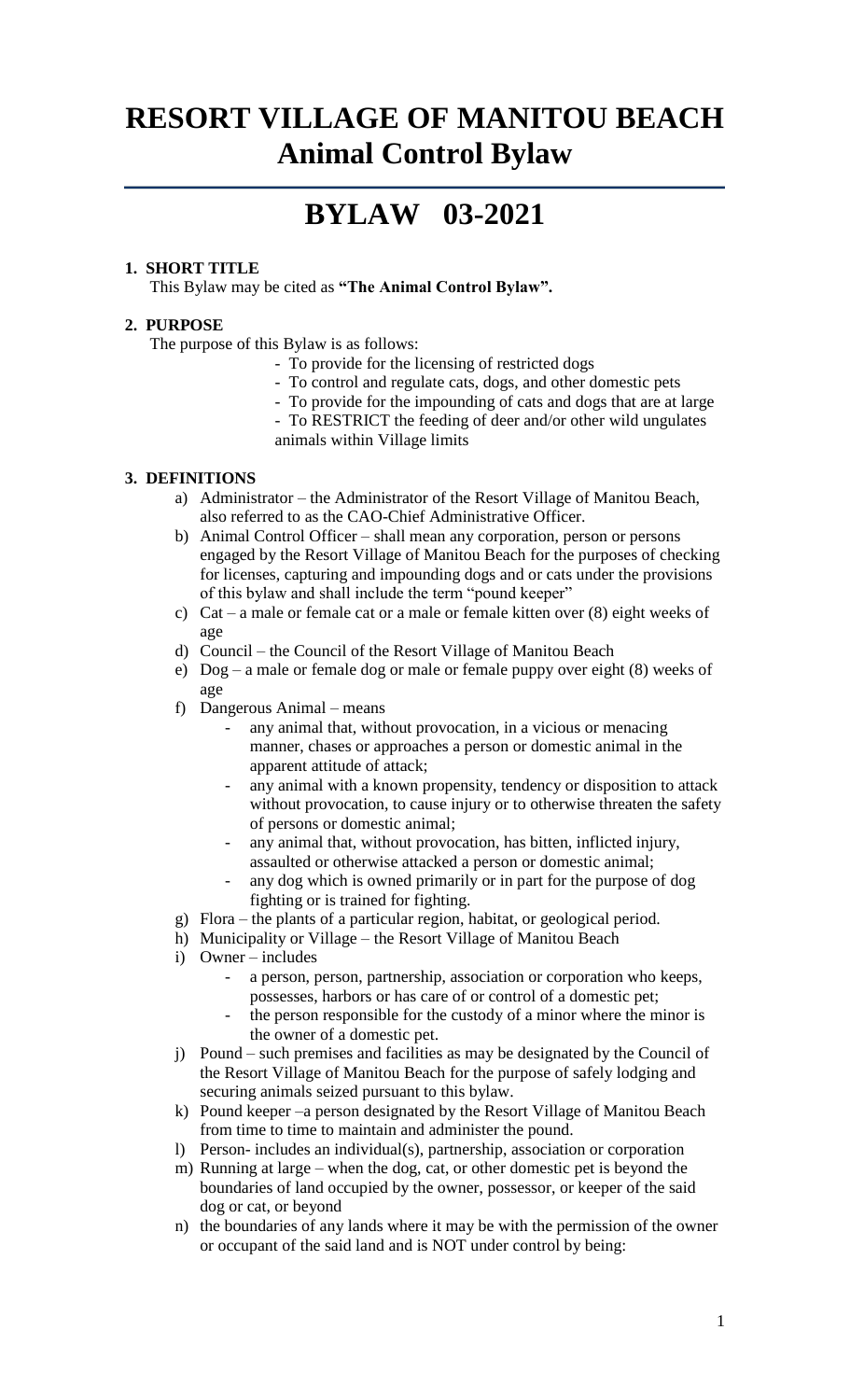## **RESORT VILLAGE OF MANITOU BEACH Animal Control Bylaw**

## **BYLAW 03-2021**

#### **1. SHORT TITLE**

This Bylaw may be cited as **"The Animal Control Bylaw".**

#### **2. PURPOSE**

The purpose of this Bylaw is as follows:

- To provide for the licensing of restricted dogs
- To control and regulate cats, dogs, and other domestic pets
- To provide for the impounding of cats and dogs that are at large
- To RESTRICT the feeding of deer and/or other wild ungulates animals within Village limits

#### **3. DEFINITIONS**

- a) Administrator the Administrator of the Resort Village of Manitou Beach, also referred to as the CAO-Chief Administrative Officer.
- b) Animal Control Officer shall mean any corporation, person or persons engaged by the Resort Village of Manitou Beach for the purposes of checking for licenses, capturing and impounding dogs and or cats under the provisions of this bylaw and shall include the term "pound keeper"
- c) Cat a male or female cat or a male or female kitten over (8) eight weeks of age
- d) Council the Council of the Resort Village of Manitou Beach
- e) Dog a male or female dog or male or female puppy over eight (8) weeks of age
- f) Dangerous Animal means
	- any animal that, without provocation, in a vicious or menacing manner, chases or approaches a person or domestic animal in the apparent attitude of attack;
	- any animal with a known propensity, tendency or disposition to attack without provocation, to cause injury or to otherwise threaten the safety of persons or domestic animal;
	- any animal that, without provocation, has bitten, inflicted injury, assaulted or otherwise attacked a person or domestic animal;
	- any dog which is owned primarily or in part for the purpose of dog fighting or is trained for fighting.
- g) Flora the plants of a particular region, habitat, or geological period.
- h) Municipality or Village the Resort Village of Manitou Beach
- i) Owner includes
	- a person, person, partnership, association or corporation who keeps, possesses, harbors or has care of or control of a domestic pet;
	- the person responsible for the custody of a minor where the minor is the owner of a domestic pet.
- j) Pound such premises and facilities as may be designated by the Council of the Resort Village of Manitou Beach for the purpose of safely lodging and securing animals seized pursuant to this bylaw.
- k) Pound keeper –a person designated by the Resort Village of Manitou Beach from time to time to maintain and administer the pound.
- l) Person- includes an individual(s), partnership, association or corporation
- m) Running at large when the dog, cat, or other domestic pet is beyond the boundaries of land occupied by the owner, possessor, or keeper of the said dog or cat, or beyond
- n) the boundaries of any lands where it may be with the permission of the owner or occupant of the said land and is NOT under control by being: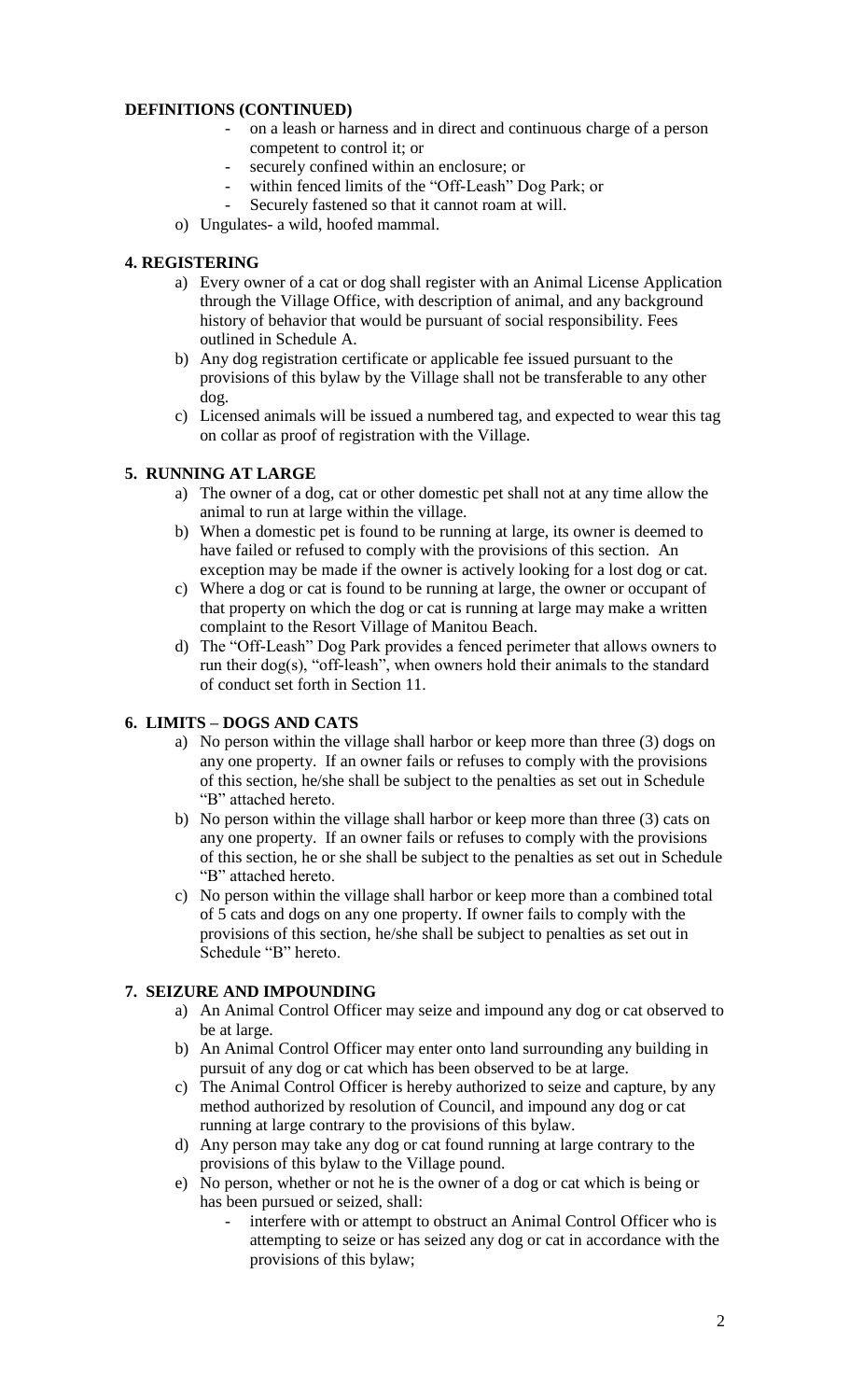#### **DEFINITIONS (CONTINUED)**

- on a leash or harness and in direct and continuous charge of a person competent to control it; or
- securely confined within an enclosure; or
- within fenced limits of the "Off-Leash" Dog Park; or
- Securely fastened so that it cannot roam at will.
- o) Ungulates- a wild, hoofed mammal.

#### **4. REGISTERING**

- a) Every owner of a cat or dog shall register with an Animal License Application through the Village Office, with description of animal, and any background history of behavior that would be pursuant of social responsibility. Fees outlined in Schedule A.
- b) Any dog registration certificate or applicable fee issued pursuant to the provisions of this bylaw by the Village shall not be transferable to any other dog.
- c) Licensed animals will be issued a numbered tag, and expected to wear this tag on collar as proof of registration with the Village.

#### **5. RUNNING AT LARGE**

- a) The owner of a dog, cat or other domestic pet shall not at any time allow the animal to run at large within the village.
- b) When a domestic pet is found to be running at large, its owner is deemed to have failed or refused to comply with the provisions of this section. An exception may be made if the owner is actively looking for a lost dog or cat.
- c) Where a dog or cat is found to be running at large, the owner or occupant of that property on which the dog or cat is running at large may make a written complaint to the Resort Village of Manitou Beach.
- d) The "Off-Leash" Dog Park provides a fenced perimeter that allows owners to run their dog(s), "off-leash", when owners hold their animals to the standard of conduct set forth in Section 11.

#### **6. LIMITS – DOGS AND CATS**

- a) No person within the village shall harbor or keep more than three (3) dogs on any one property. If an owner fails or refuses to comply with the provisions of this section, he/she shall be subject to the penalties as set out in Schedule "B" attached hereto.
- b) No person within the village shall harbor or keep more than three (3) cats on any one property. If an owner fails or refuses to comply with the provisions of this section, he or she shall be subject to the penalties as set out in Schedule "B" attached hereto.
- c) No person within the village shall harbor or keep more than a combined total of 5 cats and dogs on any one property. If owner fails to comply with the provisions of this section, he/she shall be subject to penalties as set out in Schedule "B" hereto.

#### **7. SEIZURE AND IMPOUNDING**

- a) An Animal Control Officer may seize and impound any dog or cat observed to be at large.
- b) An Animal Control Officer may enter onto land surrounding any building in pursuit of any dog or cat which has been observed to be at large.
- c) The Animal Control Officer is hereby authorized to seize and capture, by any method authorized by resolution of Council, and impound any dog or cat running at large contrary to the provisions of this bylaw.
- d) Any person may take any dog or cat found running at large contrary to the provisions of this bylaw to the Village pound.
- e) No person, whether or not he is the owner of a dog or cat which is being or has been pursued or seized, shall:
	- interfere with or attempt to obstruct an Animal Control Officer who is attempting to seize or has seized any dog or cat in accordance with the provisions of this bylaw;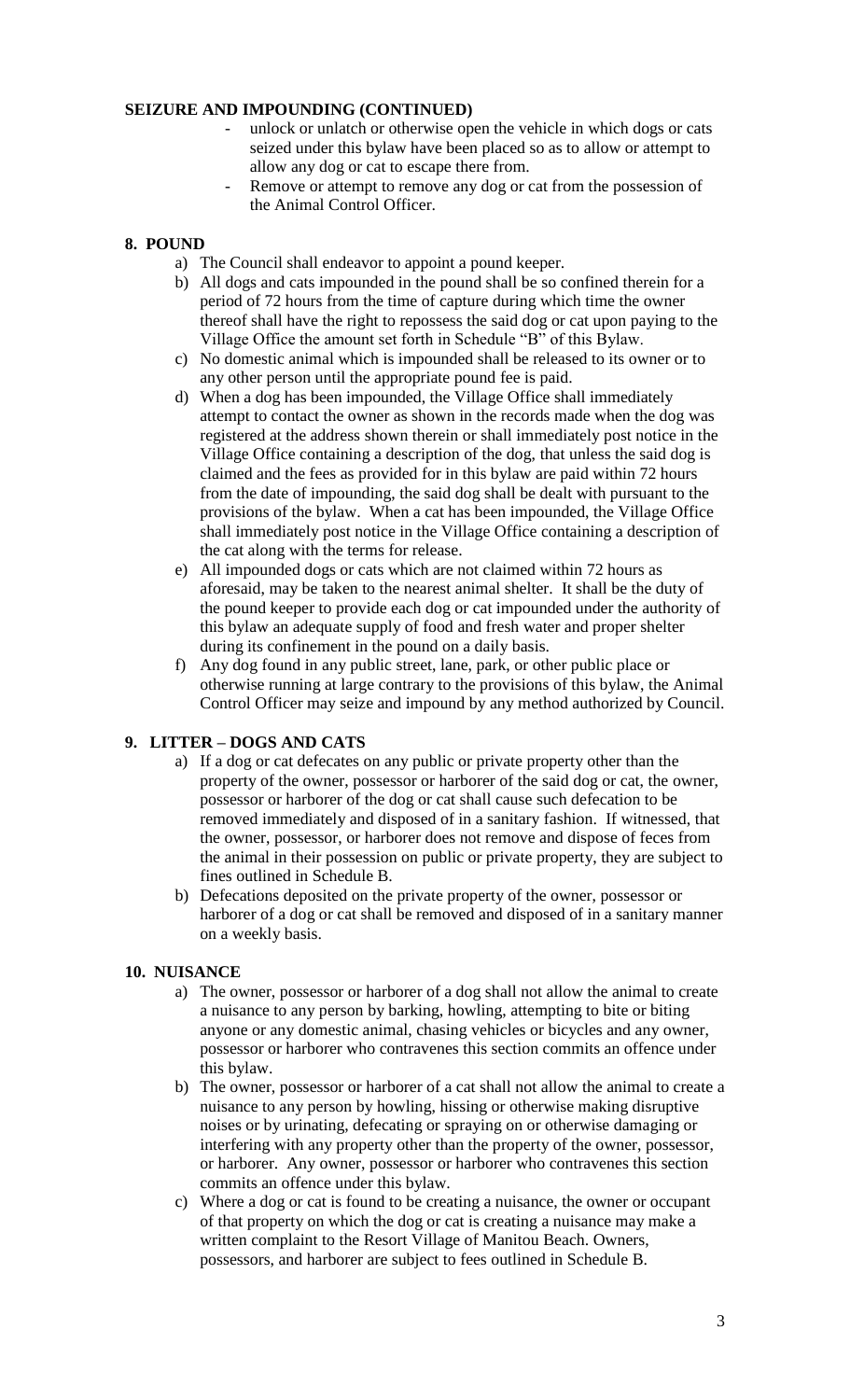#### **SEIZURE AND IMPOUNDING (CONTINUED)**

- unlock or unlatch or otherwise open the vehicle in which dogs or cats seized under this bylaw have been placed so as to allow or attempt to allow any dog or cat to escape there from.
- Remove or attempt to remove any dog or cat from the possession of the Animal Control Officer.

#### **8. POUND**

- a) The Council shall endeavor to appoint a pound keeper.
- b) All dogs and cats impounded in the pound shall be so confined therein for a period of 72 hours from the time of capture during which time the owner thereof shall have the right to repossess the said dog or cat upon paying to the Village Office the amount set forth in Schedule "B" of this Bylaw.
- c) No domestic animal which is impounded shall be released to its owner or to any other person until the appropriate pound fee is paid.
- d) When a dog has been impounded, the Village Office shall immediately attempt to contact the owner as shown in the records made when the dog was registered at the address shown therein or shall immediately post notice in the Village Office containing a description of the dog, that unless the said dog is claimed and the fees as provided for in this bylaw are paid within 72 hours from the date of impounding, the said dog shall be dealt with pursuant to the provisions of the bylaw. When a cat has been impounded, the Village Office shall immediately post notice in the Village Office containing a description of the cat along with the terms for release.
- e) All impounded dogs or cats which are not claimed within 72 hours as aforesaid, may be taken to the nearest animal shelter. It shall be the duty of the pound keeper to provide each dog or cat impounded under the authority of this bylaw an adequate supply of food and fresh water and proper shelter during its confinement in the pound on a daily basis.
- f) Any dog found in any public street, lane, park, or other public place or otherwise running at large contrary to the provisions of this bylaw, the Animal Control Officer may seize and impound by any method authorized by Council.

#### **9. LITTER – DOGS AND CATS**

- a) If a dog or cat defecates on any public or private property other than the property of the owner, possessor or harborer of the said dog or cat, the owner, possessor or harborer of the dog or cat shall cause such defecation to be removed immediately and disposed of in a sanitary fashion. If witnessed, that the owner, possessor, or harborer does not remove and dispose of feces from the animal in their possession on public or private property, they are subject to fines outlined in Schedule B.
- b) Defecations deposited on the private property of the owner, possessor or harborer of a dog or cat shall be removed and disposed of in a sanitary manner on a weekly basis.

#### **10. NUISANCE**

- a) The owner, possessor or harborer of a dog shall not allow the animal to create a nuisance to any person by barking, howling, attempting to bite or biting anyone or any domestic animal, chasing vehicles or bicycles and any owner, possessor or harborer who contravenes this section commits an offence under this bylaw.
- b) The owner, possessor or harborer of a cat shall not allow the animal to create a nuisance to any person by howling, hissing or otherwise making disruptive noises or by urinating, defecating or spraying on or otherwise damaging or interfering with any property other than the property of the owner, possessor, or harborer. Any owner, possessor or harborer who contravenes this section commits an offence under this bylaw.
- c) Where a dog or cat is found to be creating a nuisance, the owner or occupant of that property on which the dog or cat is creating a nuisance may make a written complaint to the Resort Village of Manitou Beach. Owners, possessors, and harborer are subject to fees outlined in Schedule B.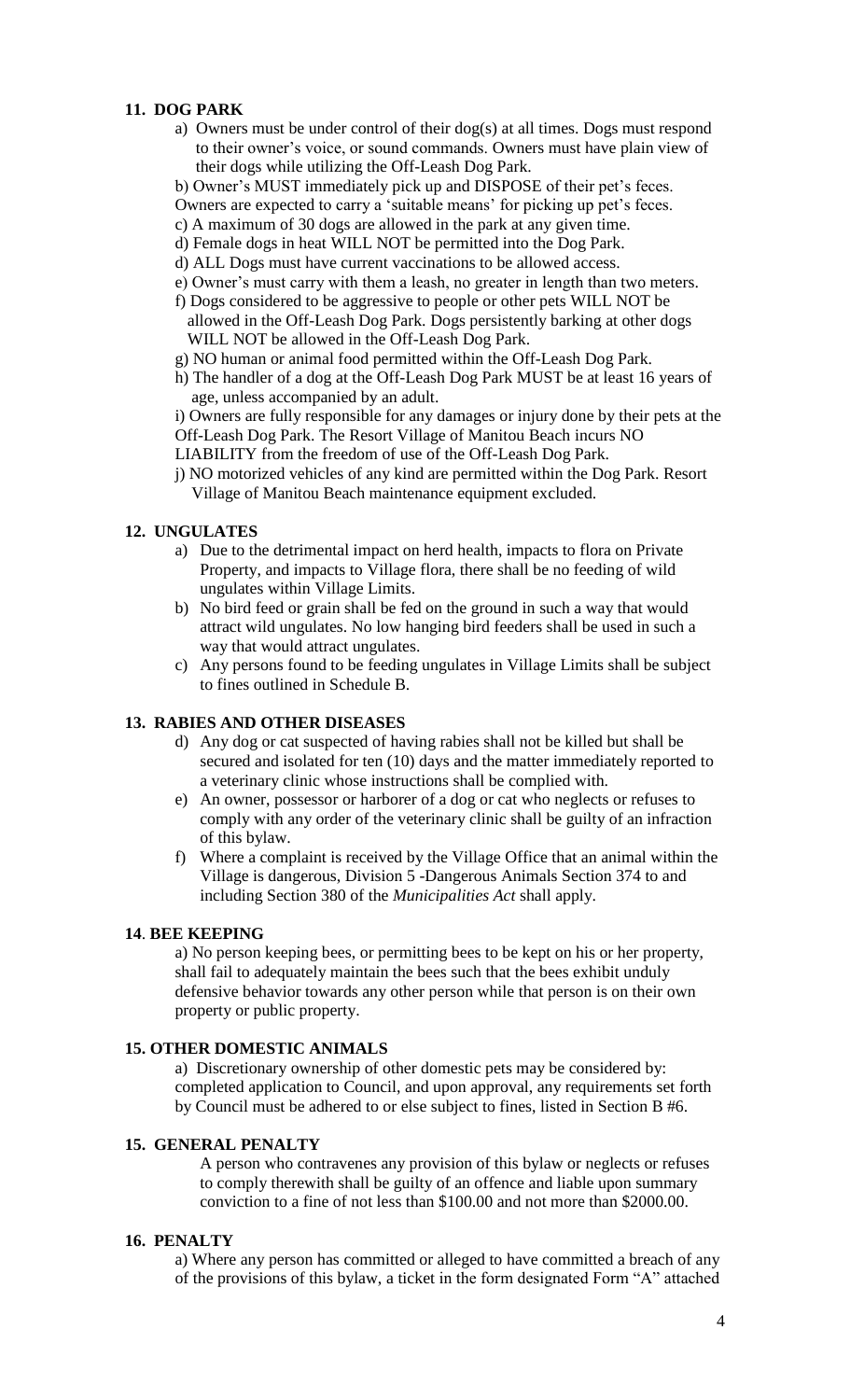#### **11. DOG PARK**

- a) Owners must be under control of their dog(s) at all times. Dogs must respond to their owner's voice, or sound commands. Owners must have plain view of their dogs while utilizing the Off-Leash Dog Park.
- b) Owner's MUST immediately pick up and DISPOSE of their pet's feces.
- Owners are expected to carry a 'suitable means' for picking up pet's feces.
- c) A maximum of 30 dogs are allowed in the park at any given time.
- d) Female dogs in heat WILL NOT be permitted into the Dog Park.
- d) ALL Dogs must have current vaccinations to be allowed access.
- e) Owner's must carry with them a leash, no greater in length than two meters.
- f) Dogs considered to be aggressive to people or other pets WILL NOT be allowed in the Off-Leash Dog Park. Dogs persistently barking at other dogs WILL NOT be allowed in the Off-Leash Dog Park.
- g) NO human or animal food permitted within the Off-Leash Dog Park.
- h) The handler of a dog at the Off-Leash Dog Park MUST be at least 16 years of age, unless accompanied by an adult.

i) Owners are fully responsible for any damages or injury done by their pets at the Off-Leash Dog Park. The Resort Village of Manitou Beach incurs NO

- LIABILITY from the freedom of use of the Off-Leash Dog Park.
- j) NO motorized vehicles of any kind are permitted within the Dog Park. Resort Village of Manitou Beach maintenance equipment excluded.

#### **12. UNGULATES**

- a) Due to the detrimental impact on herd health, impacts to flora on Private Property, and impacts to Village flora, there shall be no feeding of wild ungulates within Village Limits.
- b) No bird feed or grain shall be fed on the ground in such a way that would attract wild ungulates. No low hanging bird feeders shall be used in such a way that would attract ungulates.
- c) Any persons found to be feeding ungulates in Village Limits shall be subject to fines outlined in Schedule B.

#### **13. RABIES AND OTHER DISEASES**

- d) Any dog or cat suspected of having rabies shall not be killed but shall be secured and isolated for ten (10) days and the matter immediately reported to a veterinary clinic whose instructions shall be complied with.
- e) An owner, possessor or harborer of a dog or cat who neglects or refuses to comply with any order of the veterinary clinic shall be guilty of an infraction of this bylaw.
- f) Where a complaint is received by the Village Office that an animal within the Village is dangerous, Division 5 -Dangerous Animals Section 374 to and including Section 380 of the *Municipalities Act* shall apply.

#### **14**. **BEE KEEPING**

a) No person keeping bees, or permitting bees to be kept on his or her property, shall fail to adequately maintain the bees such that the bees exhibit unduly defensive behavior towards any other person while that person is on their own property or public property.

#### **15. OTHER DOMESTIC ANIMALS**

a) Discretionary ownership of other domestic pets may be considered by: completed application to Council, and upon approval, any requirements set forth by Council must be adhered to or else subject to fines, listed in Section B #6.

#### **15. GENERAL PENALTY**

A person who contravenes any provision of this bylaw or neglects or refuses to comply therewith shall be guilty of an offence and liable upon summary conviction to a fine of not less than \$100.00 and not more than \$2000.00.

#### **16. PENALTY**

a) Where any person has committed or alleged to have committed a breach of any of the provisions of this bylaw, a ticket in the form designated Form "A" attached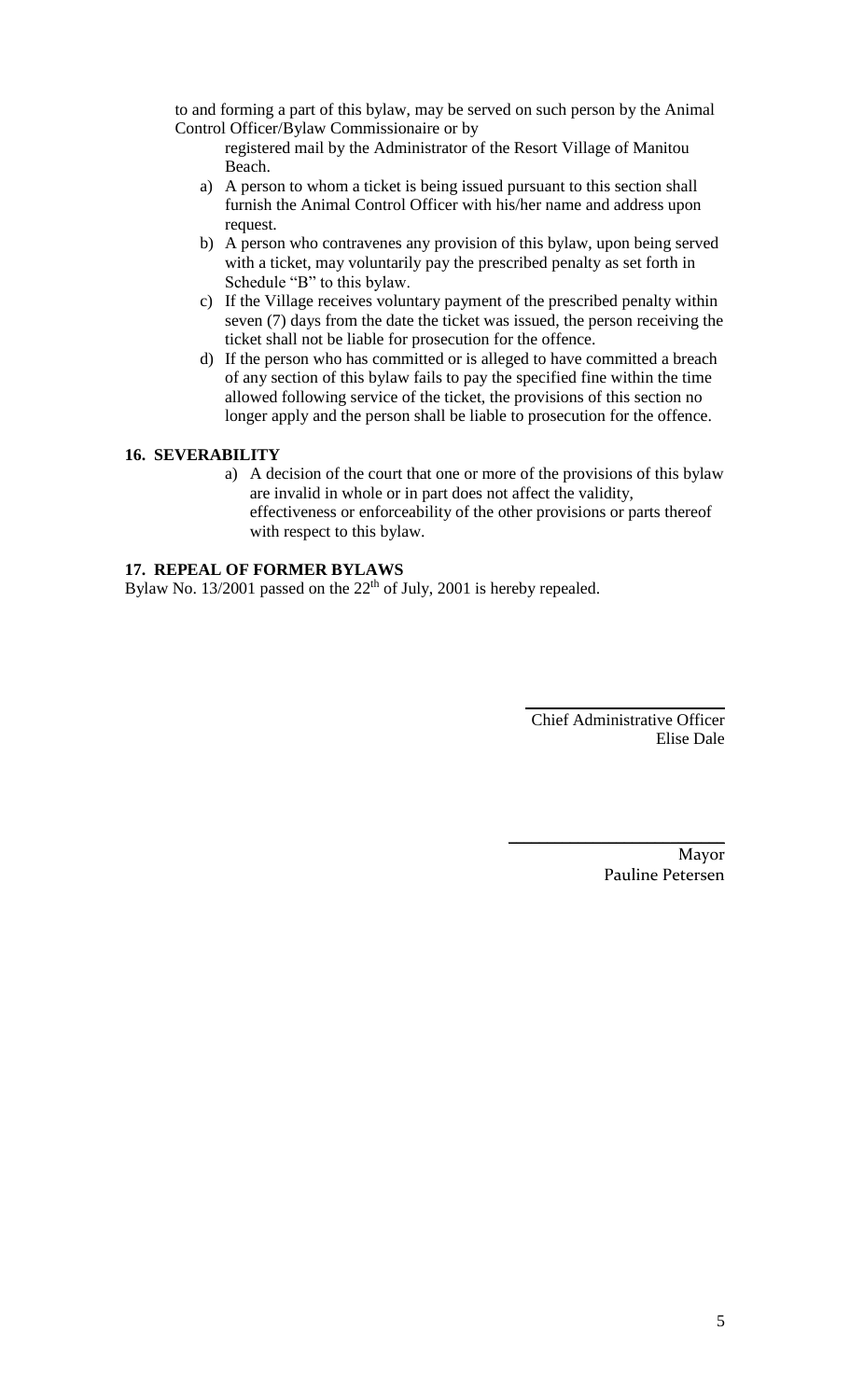to and forming a part of this bylaw, may be served on such person by the Animal Control Officer/Bylaw Commissionaire or by

registered mail by the Administrator of the Resort Village of Manitou Beach.

- a) A person to whom a ticket is being issued pursuant to this section shall furnish the Animal Control Officer with his/her name and address upon request.
- b) A person who contravenes any provision of this bylaw, upon being served with a ticket, may voluntarily pay the prescribed penalty as set forth in Schedule "B" to this bylaw.
- c) If the Village receives voluntary payment of the prescribed penalty within seven (7) days from the date the ticket was issued, the person receiving the ticket shall not be liable for prosecution for the offence.
- d) If the person who has committed or is alleged to have committed a breach of any section of this bylaw fails to pay the specified fine within the time allowed following service of the ticket, the provisions of this section no longer apply and the person shall be liable to prosecution for the offence.

#### **16. SEVERABILITY**

a) A decision of the court that one or more of the provisions of this bylaw are invalid in whole or in part does not affect the validity, effectiveness or enforceability of the other provisions or parts thereof with respect to this bylaw.

#### **17. REPEAL OF FORMER BYLAWS**

Bylaw No. 13/2001 passed on the  $22<sup>th</sup>$  of July, 2001 is hereby repealed.

Chief Administrative Officer Elise Dale

**\_\_\_\_\_\_\_\_\_\_\_\_\_\_\_\_\_\_\_\_\_\_\_\_\_\_\_\_**

Mayor Pauline Petersen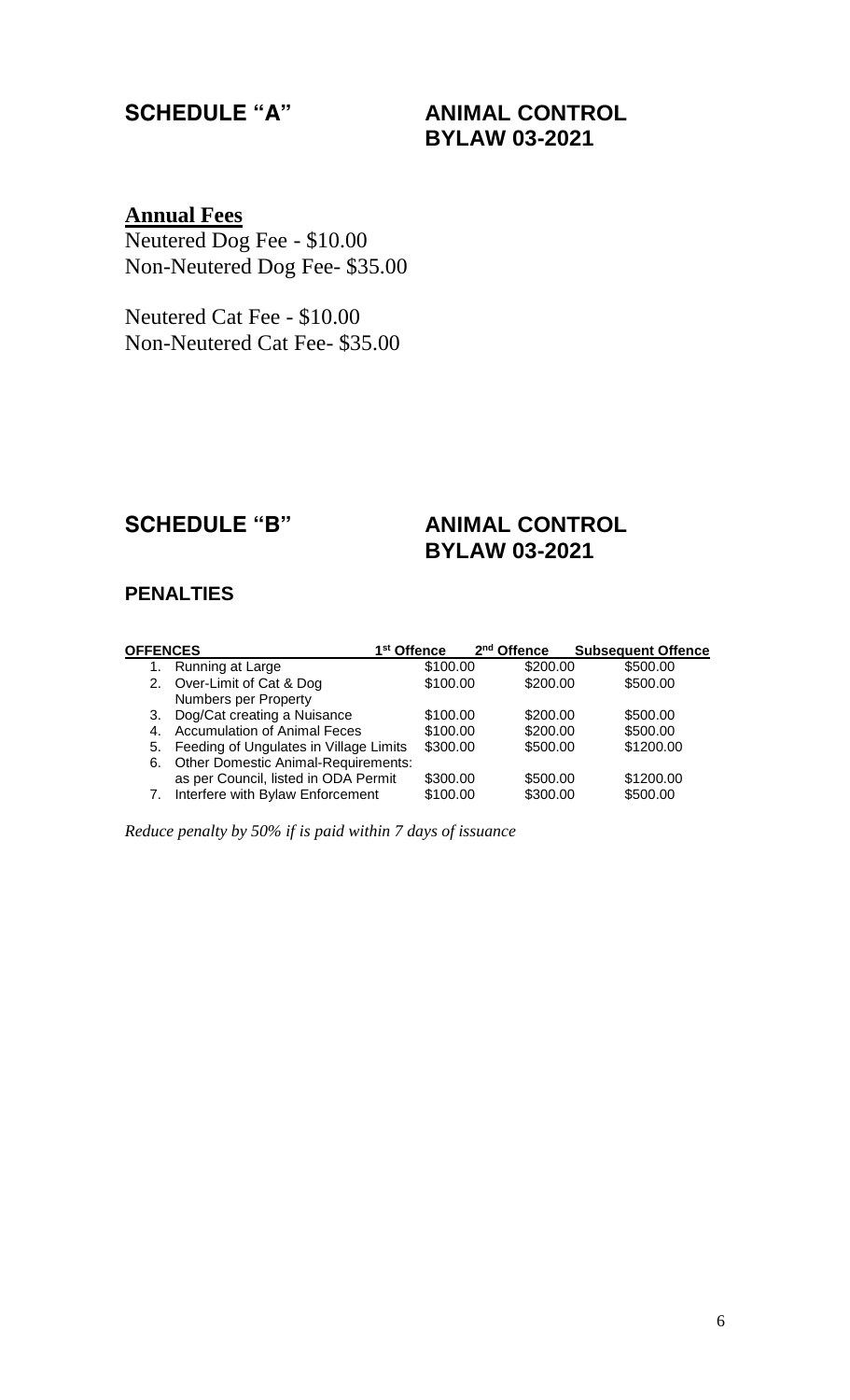## **SCHEDULE "A" ANIMAL CONTROL BYLAW 03-2021**

## **Annual Fees**

Neutered Dog Fee - \$10.00 Non-Neutered Dog Fee- \$35.00

Neutered Cat Fee - \$10.00 Non-Neutered Cat Fee- \$35.00

## **SCHEDULE "B" ANIMAL CONTROL**

# **BYLAW 03-2021**

### **PENALTIES**

| <b>OFFENCES</b> |                                            | 1 <sup>st</sup> Offence | 2 <sup>nd</sup> Offence | <b>Subsequent Offence</b> |
|-----------------|--------------------------------------------|-------------------------|-------------------------|---------------------------|
| 1.              | Running at Large                           | \$100.00                | \$200.00                | \$500.00                  |
|                 | 2. Over-Limit of Cat & Dog                 | \$100.00                | \$200.00                | \$500.00                  |
|                 | Numbers per Property                       |                         |                         |                           |
| 3.              | Dog/Cat creating a Nuisance                | \$100.00                | \$200.00                | \$500.00                  |
| 4.              | <b>Accumulation of Animal Feces</b>        | \$100.00                | \$200.00                | \$500.00                  |
| 5.              | Feeding of Ungulates in Village Limits     | \$300.00                | \$500.00                | \$1200.00                 |
| 6.              | <b>Other Domestic Animal-Requirements:</b> |                         |                         |                           |
|                 | as per Council, listed in ODA Permit       | \$300.00                | \$500.00                | \$1200.00                 |
|                 | Interfere with Bylaw Enforcement           | \$100.00                | \$300.00                | \$500.00                  |

*Reduce penalty by 50% if is paid within 7 days of issuance*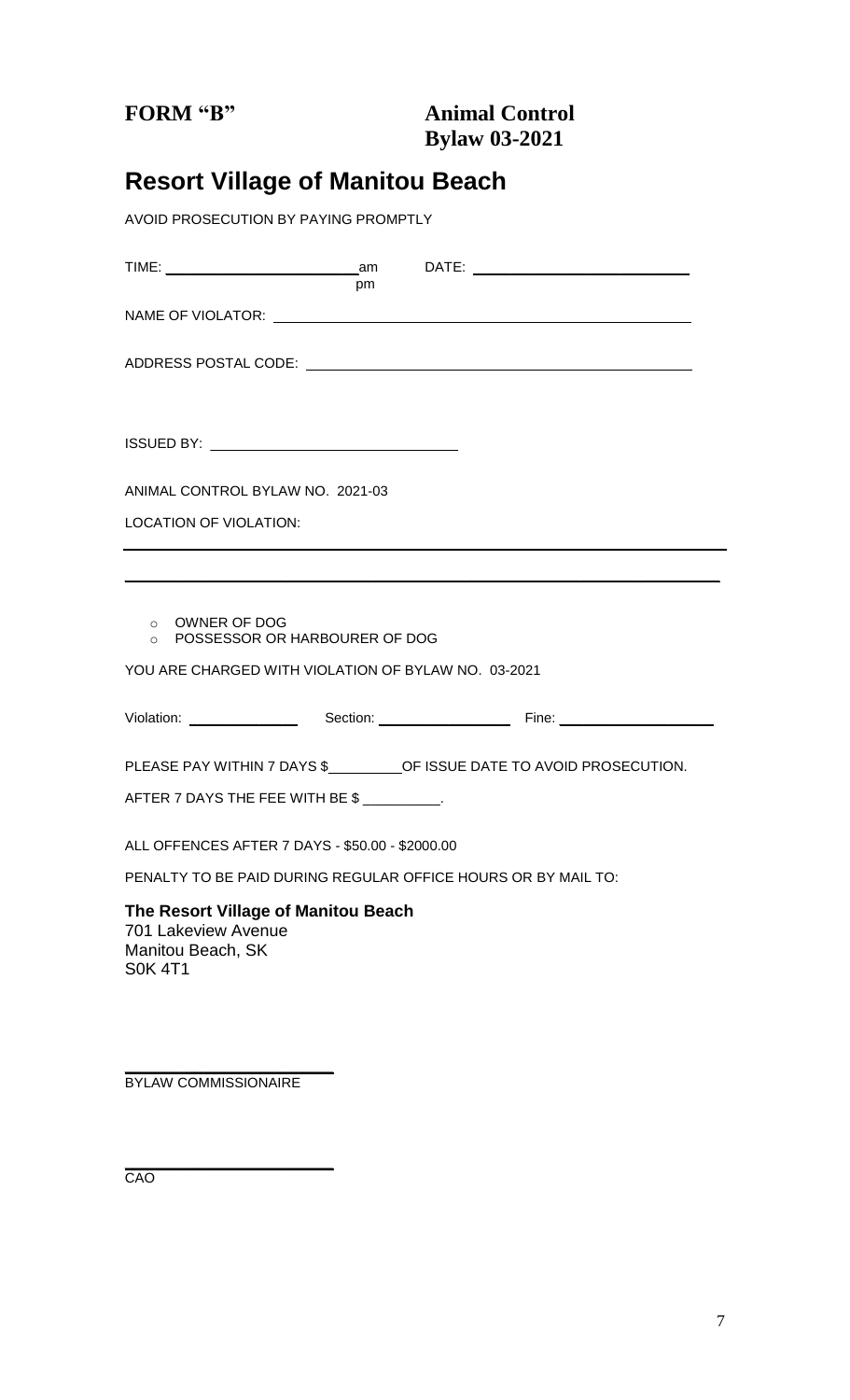## **Resort Village of Manitou Beach**

*AVOID PROSECUTION BY PAYING PROMPTLY*

| pm                                                                             |  |  |  |  |  |
|--------------------------------------------------------------------------------|--|--|--|--|--|
|                                                                                |  |  |  |  |  |
|                                                                                |  |  |  |  |  |
|                                                                                |  |  |  |  |  |
|                                                                                |  |  |  |  |  |
| ANIMAL CONTROL BYLAW NO. 2021-03                                               |  |  |  |  |  |
| <b>LOCATION OF VIOLATION:</b>                                                  |  |  |  |  |  |
|                                                                                |  |  |  |  |  |
| o OWNER OF DOG<br>O POSSESSOR OR HARBOURER OF DOG                              |  |  |  |  |  |
| YOU ARE CHARGED WITH VIOLATION OF BYLAW NO. 03-2021                            |  |  |  |  |  |
|                                                                                |  |  |  |  |  |
| PLEASE PAY WITHIN 7 DAYS \$__________ OF ISSUE DATE TO AVOID PROSECUTION.      |  |  |  |  |  |
| AFTER 7 DAYS THE FEE WITH BE \$                                                |  |  |  |  |  |
| ALL OFFENCES AFTER 7 DAYS - \$50.00 - \$2000.00                                |  |  |  |  |  |
| PENALTY TO BE PAID DURING REGULAR OFFICE HOURS OR BY MAIL TO:                  |  |  |  |  |  |
| The Resort Village of Manitou Beach<br>701 Lakeview Avenue<br>Monitou Roach CK |  |  |  |  |  |

Manitou Beach, SK S0K 4T1

**\_\_\_\_\_\_\_\_\_\_\_\_\_\_\_\_\_\_\_\_\_\_\_\_\_\_\_** BYLAW COMMISSIONAIRE

**\_\_\_\_\_\_\_\_\_\_\_\_\_\_\_\_\_\_\_\_\_\_\_\_\_\_\_** CAO